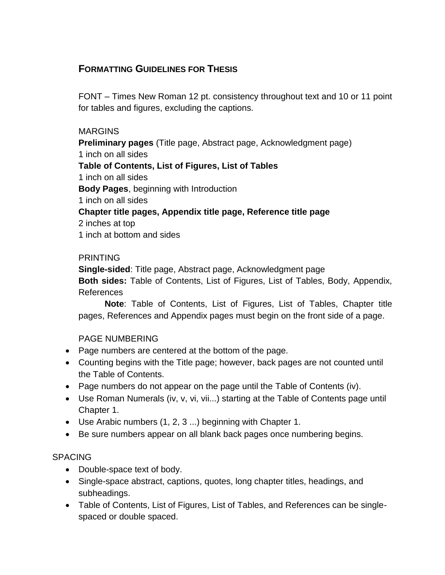# **FORMATTING GUIDELINES FOR THESIS**

FONT – Times New Roman 12 pt. consistency throughout text and 10 or 11 point for tables and figures, excluding the captions.

### MARGINS

**Preliminary pages** (Title page, Abstract page, Acknowledgment page) 1 inch on all sides **Table of Contents, List of Figures, List of Tables** 1 inch on all sides **Body Pages**, beginning with Introduction 1 inch on all sides **Chapter title pages, Appendix title page, Reference title page** 2 inches at top 1 inch at bottom and sides

### PRINTING

**Single-sided**: Title page, Abstract page, Acknowledgment page **Both sides:** Table of Contents, List of Figures, List of Tables, Body, Appendix, References

**Note**: Table of Contents, List of Figures, List of Tables, Chapter title pages, References and Appendix pages must begin on the front side of a page.

# PAGE NUMBERING

- Page numbers are centered at the bottom of the page.
- Counting begins with the Title page; however, back pages are not counted until the Table of Contents.
- Page numbers do not appear on the page until the Table of Contents (iv).
- Use Roman Numerals (iv, v, vi, vii...) starting at the Table of Contents page until Chapter 1.
- Use Arabic numbers (1, 2, 3 ...) beginning with Chapter 1.
- Be sure numbers appear on all blank back pages once numbering begins.

# SPACING

- Double-space text of body.
- Single-space abstract, captions, quotes, long chapter titles, headings, and subheadings.
- Table of Contents, List of Figures, List of Tables, and References can be singlespaced or double spaced.